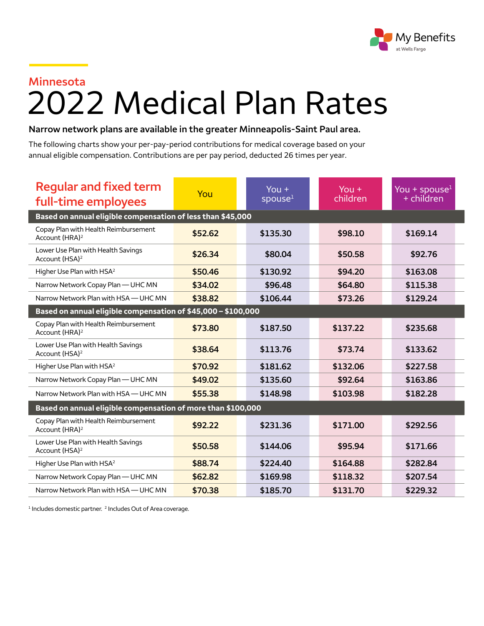

## **Minnesota**

## 2022 Medical Plan Rates

## **Narrow network plans are available in the greater Minneapolis-Saint Paul area.**

The following charts show your per-pay-period contributions for medical coverage based on your annual eligible compensation. Contributions are per pay period, deducted 26 times per year.

| <b>Regular and fixed term</b><br>full-time employees               | You     | You $+$<br>spouse <sup>1</sup> | You $+$<br>children | You + spouse $1$<br>+ children |  |  |
|--------------------------------------------------------------------|---------|--------------------------------|---------------------|--------------------------------|--|--|
| Based on annual eligible compensation of less than \$45,000        |         |                                |                     |                                |  |  |
| Copay Plan with Health Reimbursement<br>Account (HRA) <sup>2</sup> | \$52.62 | \$135.30                       | \$98.10             | \$169.14                       |  |  |
| Lower Use Plan with Health Savings<br>Account (HSA) <sup>2</sup>   | \$26.34 | \$80.04                        | \$50.58             | \$92.76                        |  |  |
| Higher Use Plan with HSA <sup>2</sup>                              | \$50.46 | \$130.92                       | \$94.20             | \$163.08                       |  |  |
| Narrow Network Copay Plan - UHC MN                                 | \$34.02 | \$96.48                        | \$64.80             | \$115.38                       |  |  |
| Narrow Network Plan with HSA - UHC MN                              | \$38.82 | \$106.44                       | \$73.26             | \$129.24                       |  |  |
| Based on annual eligible compensation of \$45,000 - \$100,000      |         |                                |                     |                                |  |  |
| Copay Plan with Health Reimbursement<br>Account (HRA) <sup>2</sup> | \$73.80 | \$187.50                       | \$137.22            | \$235.68                       |  |  |
| Lower Use Plan with Health Savings<br>Account (HSA) <sup>2</sup>   | \$38.64 | \$113.76                       | \$73.74             | \$133.62                       |  |  |
| Higher Use Plan with HSA <sup>2</sup>                              | \$70.92 | \$181.62                       | \$132.06            | \$227.58                       |  |  |
| Narrow Network Copay Plan - UHC MN                                 | \$49.02 | \$135.60                       | \$92.64             | \$163.86                       |  |  |
| Narrow Network Plan with HSA - UHC MN                              | \$55.38 | \$148.98                       | \$103.98            | \$182.28                       |  |  |
| Based on annual eligible compensation of more than \$100,000       |         |                                |                     |                                |  |  |
| Copay Plan with Health Reimbursement<br>Account (HRA) <sup>2</sup> | \$92.22 | \$231.36                       | \$171.00            | \$292.56                       |  |  |
| Lower Use Plan with Health Savings<br>Account (HSA) <sup>2</sup>   | \$50.58 | \$144.06                       | \$95.94             | \$171.66                       |  |  |
| Higher Use Plan with HSA <sup>2</sup>                              | \$88.74 | \$224.40                       | \$164.88            | \$282.84                       |  |  |
| Narrow Network Copay Plan - UHC MN                                 | \$62.82 | \$169.98                       | \$118.32            | \$207.54                       |  |  |
| Narrow Network Plan with HSA - UHC MN                              | \$70.38 | \$185.70                       | \$131.70            | \$229.32                       |  |  |

<sup>1</sup> Includes domestic partner.<sup>2</sup> Includes Out of Area coverage.